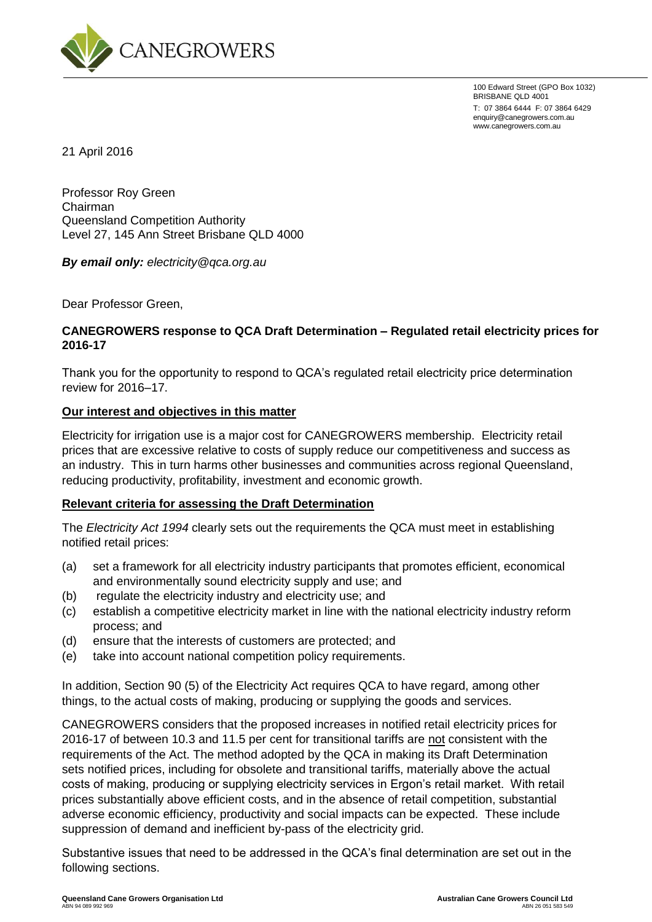

100 Edward Street (GPO Box 1032) BRISBANE QLD 4001 T: 07 3864 6444 F: 07 3864 6429 enquiry@canegrowers.com.au www.canegrowers.com.au

21 April 2016

Professor Roy Green Chairman Queensland Competition Authority Level 27, 145 Ann Street Brisbane QLD 4000

*By email only: electricity@qca.org.au*

Dear Professor Green,

### **CANEGROWERS response to QCA Draft Determination – Regulated retail electricity prices for 2016-17**

Thank you for the opportunity to respond to QCA's regulated retail electricity price determination review for 2016–17.

#### **Our interest and objectives in this matter**

Electricity for irrigation use is a major cost for CANEGROWERS membership. Electricity retail prices that are excessive relative to costs of supply reduce our competitiveness and success as an industry. This in turn harms other businesses and communities across regional Queensland, reducing productivity, profitability, investment and economic growth.

#### **Relevant criteria for assessing the Draft Determination**

The *Electricity Act 1994* clearly sets out the requirements the QCA must meet in establishing notified retail prices:

- (a) set a framework for all electricity industry participants that promotes efficient, economical and environmentally sound electricity supply and use; and
- (b) regulate the electricity industry and electricity use; and
- (c) establish a competitive electricity market in line with the national electricity industry reform process; and
- (d) ensure that the interests of customers are protected; and
- (e) take into account national competition policy requirements.

In addition, Section 90 (5) of the Electricity Act requires QCA to have regard, among other things, to the actual costs of making, producing or supplying the goods and services.

CANEGROWERS considers that the proposed increases in notified retail electricity prices for 2016-17 of between 10.3 and 11.5 per cent for transitional tariffs are not consistent with the requirements of the Act. The method adopted by the QCA in making its Draft Determination sets notified prices, including for obsolete and transitional tariffs, materially above the actual costs of making, producing or supplying electricity services in Ergon's retail market. With retail prices substantially above efficient costs, and in the absence of retail competition, substantial adverse economic efficiency, productivity and social impacts can be expected. These include suppression of demand and inefficient by-pass of the electricity grid.

Substantive issues that need to be addressed in the QCA's final determination are set out in the following sections.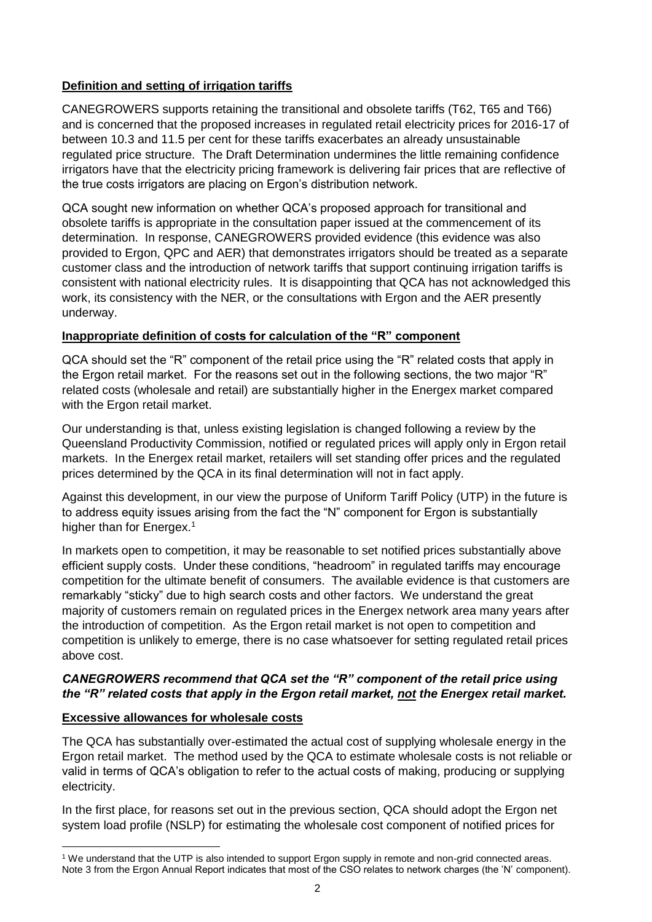# **Definition and setting of irrigation tariffs**

CANEGROWERS supports retaining the transitional and obsolete tariffs (T62, T65 and T66) and is concerned that the proposed increases in regulated retail electricity prices for 2016-17 of between 10.3 and 11.5 per cent for these tariffs exacerbates an already unsustainable regulated price structure. The Draft Determination undermines the little remaining confidence irrigators have that the electricity pricing framework is delivering fair prices that are reflective of the true costs irrigators are placing on Ergon's distribution network.

QCA sought new information on whether QCA's proposed approach for transitional and obsolete tariffs is appropriate in the consultation paper issued at the commencement of its determination. In response, CANEGROWERS provided evidence (this evidence was also provided to Ergon, QPC and AER) that demonstrates irrigators should be treated as a separate customer class and the introduction of network tariffs that support continuing irrigation tariffs is consistent with national electricity rules. It is disappointing that QCA has not acknowledged this work, its consistency with the NER, or the consultations with Ergon and the AER presently underway.

# **Inappropriate definition of costs for calculation of the "R" component**

QCA should set the "R" component of the retail price using the "R" related costs that apply in the Ergon retail market. For the reasons set out in the following sections, the two major "R" related costs (wholesale and retail) are substantially higher in the Energex market compared with the Ergon retail market.

Our understanding is that, unless existing legislation is changed following a review by the Queensland Productivity Commission, notified or regulated prices will apply only in Ergon retail markets. In the Energex retail market, retailers will set standing offer prices and the regulated prices determined by the QCA in its final determination will not in fact apply.

Against this development, in our view the purpose of Uniform Tariff Policy (UTP) in the future is to address equity issues arising from the fact the "N" component for Ergon is substantially higher than for Energex.<sup>1</sup>

In markets open to competition, it may be reasonable to set notified prices substantially above efficient supply costs. Under these conditions, "headroom" in regulated tariffs may encourage competition for the ultimate benefit of consumers. The available evidence is that customers are remarkably "sticky" due to high search costs and other factors. We understand the great majority of customers remain on regulated prices in the Energex network area many years after the introduction of competition. As the Ergon retail market is not open to competition and competition is unlikely to emerge, there is no case whatsoever for setting regulated retail prices above cost.

### *CANEGROWERS recommend that QCA set the "R" component of the retail price using the "R" related costs that apply in the Ergon retail market, not the Energex retail market.*

# **Excessive allowances for wholesale costs**

<u>.</u>

The QCA has substantially over-estimated the actual cost of supplying wholesale energy in the Ergon retail market. The method used by the QCA to estimate wholesale costs is not reliable or valid in terms of QCA's obligation to refer to the actual costs of making, producing or supplying electricity.

In the first place, for reasons set out in the previous section, QCA should adopt the Ergon net system load profile (NSLP) for estimating the wholesale cost component of notified prices for

<sup>&</sup>lt;sup>1</sup> We understand that the UTP is also intended to support Ergon supply in remote and non-grid connected areas. Note 3 from the Ergon Annual Report indicates that most of the CSO relates to network charges (the 'N' component).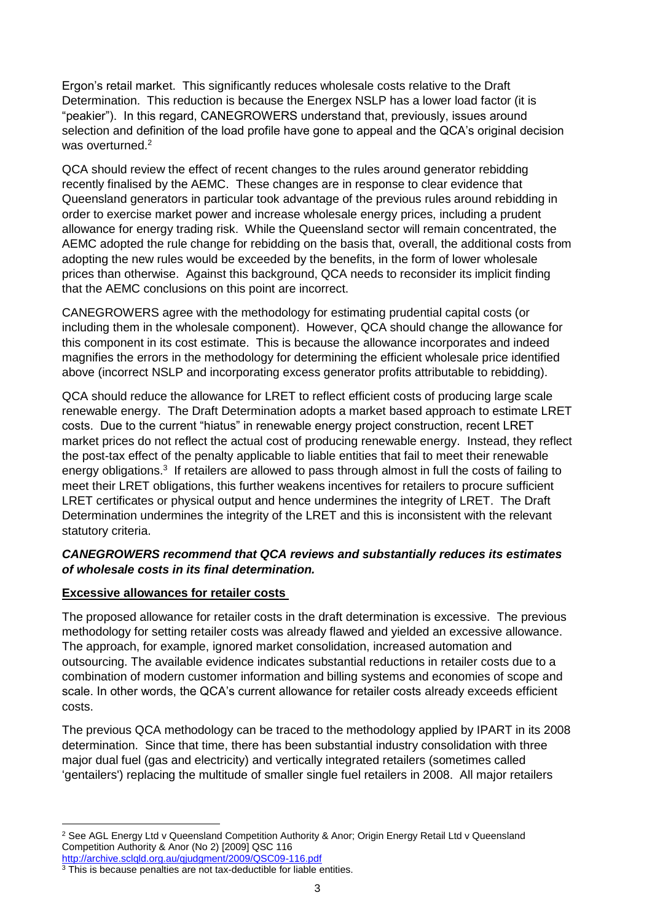Ergon's retail market. This significantly reduces wholesale costs relative to the Draft Determination. This reduction is because the Energex NSLP has a lower load factor (it is "peakier"). In this regard, CANEGROWERS understand that, previously, issues around selection and definition of the load profile have gone to appeal and the QCA's original decision was overturned.<sup>2</sup>

QCA should review the effect of recent changes to the rules around generator rebidding recently finalised by the AEMC. These changes are in response to clear evidence that Queensland generators in particular took advantage of the previous rules around rebidding in order to exercise market power and increase wholesale energy prices, including a prudent allowance for energy trading risk. While the Queensland sector will remain concentrated, the AEMC adopted the rule change for rebidding on the basis that, overall, the additional costs from adopting the new rules would be exceeded by the benefits, in the form of lower wholesale prices than otherwise. Against this background, QCA needs to reconsider its implicit finding that the AEMC conclusions on this point are incorrect.

CANEGROWERS agree with the methodology for estimating prudential capital costs (or including them in the wholesale component). However, QCA should change the allowance for this component in its cost estimate. This is because the allowance incorporates and indeed magnifies the errors in the methodology for determining the efficient wholesale price identified above (incorrect NSLP and incorporating excess generator profits attributable to rebidding).

QCA should reduce the allowance for LRET to reflect efficient costs of producing large scale renewable energy. The Draft Determination adopts a market based approach to estimate LRET costs. Due to the current "hiatus" in renewable energy project construction, recent LRET market prices do not reflect the actual cost of producing renewable energy. Instead, they reflect the post-tax effect of the penalty applicable to liable entities that fail to meet their renewable energy obligations.<sup>3</sup> If retailers are allowed to pass through almost in full the costs of failing to meet their LRET obligations, this further weakens incentives for retailers to procure sufficient LRET certificates or physical output and hence undermines the integrity of LRET. The Draft Determination undermines the integrity of the LRET and this is inconsistent with the relevant statutory criteria.

# *CANEGROWERS recommend that QCA reviews and substantially reduces its estimates of wholesale costs in its final determination.*

# **Excessive allowances for retailer costs**

The proposed allowance for retailer costs in the draft determination is excessive. The previous methodology for setting retailer costs was already flawed and yielded an excessive allowance. The approach, for example, ignored market consolidation, increased automation and outsourcing. The available evidence indicates substantial reductions in retailer costs due to a combination of modern customer information and billing systems and economies of scope and scale. In other words, the QCA's current allowance for retailer costs already exceeds efficient costs.

The previous QCA methodology can be traced to the methodology applied by IPART in its 2008 determination. Since that time, there has been substantial industry consolidation with three major dual fuel (gas and electricity) and vertically integrated retailers (sometimes called 'gentailers') replacing the multitude of smaller single fuel retailers in 2008. All major retailers

<sup>1</sup> <sup>2</sup> See AGL Energy Ltd v Queensland Competition Authority & Anor; Origin Energy Retail Ltd v Queensland Competition Authority & Anor (No 2) [2009] QSC 116 <http://archive.sclqld.org.au/qjudgment/2009/QSC09-116.pdf>

<sup>&</sup>lt;sup>3</sup> This is because penalties are not tax-deductible for liable entities.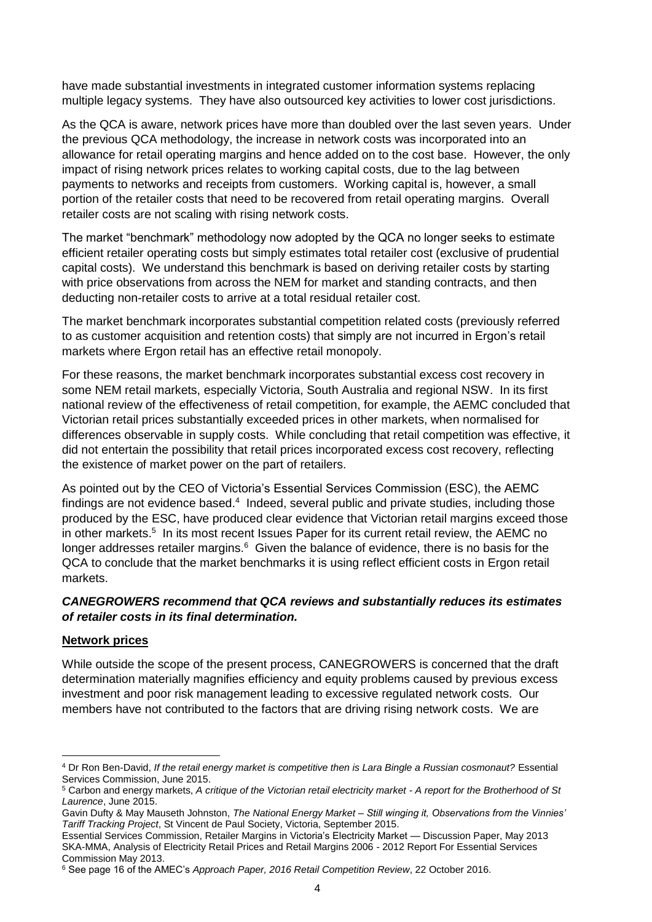have made substantial investments in integrated customer information systems replacing multiple legacy systems. They have also outsourced key activities to lower cost jurisdictions.

As the QCA is aware, network prices have more than doubled over the last seven years. Under the previous QCA methodology, the increase in network costs was incorporated into an allowance for retail operating margins and hence added on to the cost base. However, the only impact of rising network prices relates to working capital costs, due to the lag between payments to networks and receipts from customers. Working capital is, however, a small portion of the retailer costs that need to be recovered from retail operating margins. Overall retailer costs are not scaling with rising network costs.

The market "benchmark" methodology now adopted by the QCA no longer seeks to estimate efficient retailer operating costs but simply estimates total retailer cost (exclusive of prudential capital costs). We understand this benchmark is based on deriving retailer costs by starting with price observations from across the NEM for market and standing contracts, and then deducting non-retailer costs to arrive at a total residual retailer cost.

The market benchmark incorporates substantial competition related costs (previously referred to as customer acquisition and retention costs) that simply are not incurred in Ergon's retail markets where Ergon retail has an effective retail monopoly.

For these reasons, the market benchmark incorporates substantial excess cost recovery in some NEM retail markets, especially Victoria, South Australia and regional NSW. In its first national review of the effectiveness of retail competition, for example, the AEMC concluded that Victorian retail prices substantially exceeded prices in other markets, when normalised for differences observable in supply costs. While concluding that retail competition was effective, it did not entertain the possibility that retail prices incorporated excess cost recovery, reflecting the existence of market power on the part of retailers.

As pointed out by the CEO of Victoria's Essential Services Commission (ESC), the AEMC findings are not evidence based.<sup>4</sup> Indeed, several public and private studies, including those produced by the ESC, have produced clear evidence that Victorian retail margins exceed those in other markets.<sup>5</sup> In its most recent Issues Paper for its current retail review, the AEMC no longer addresses retailer margins.<sup>6</sup> Given the balance of evidence, there is no basis for the QCA to conclude that the market benchmarks it is using reflect efficient costs in Ergon retail markets.

### *CANEGROWERS recommend that QCA reviews and substantially reduces its estimates of retailer costs in its final determination.*

### **Network prices**

<u>.</u>

While outside the scope of the present process, CANEGROWERS is concerned that the draft determination materially magnifies efficiency and equity problems caused by previous excess investment and poor risk management leading to excessive regulated network costs. Our members have not contributed to the factors that are driving rising network costs. We are

<sup>4</sup> Dr Ron Ben-David, *If the retail energy market is competitive then is Lara Bingle a Russian cosmonaut?* Essential Services Commission, June 2015.

<sup>5</sup> Carbon and energy markets, *A critique of the Victorian retail electricity market - A report for the Brotherhood of St Laurence*, June 2015.

Gavin Dufty & May Mauseth Johnston, *The National Energy Market – Still winging it, Observations from the Vinnies' Tariff Tracking Project*, St Vincent de Paul Society, Victoria, September 2015.

Essential Services Commission, Retailer Margins in Victoria's Electricity Market — Discussion Paper, May 2013 SKA-MMA, Analysis of Electricity Retail Prices and Retail Margins 2006 - 2012 Report For Essential Services Commission May 2013.

<sup>6</sup> See page 16 of the AMEC's *Approach Paper, 2016 Retail Competition Review*, 22 October 2016.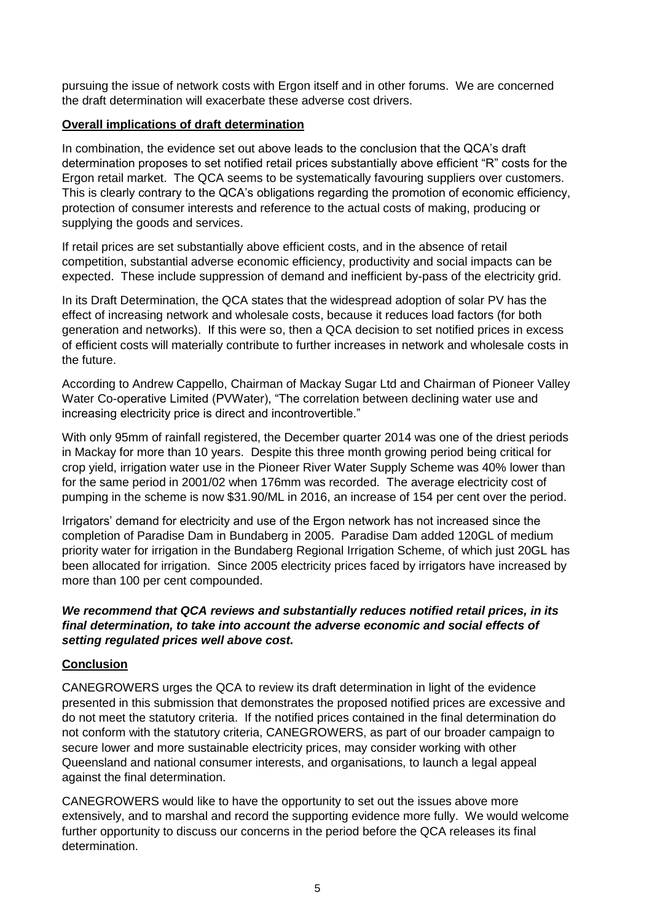pursuing the issue of network costs with Ergon itself and in other forums. We are concerned the draft determination will exacerbate these adverse cost drivers.

### **Overall implications of draft determination**

In combination, the evidence set out above leads to the conclusion that the QCA's draft determination proposes to set notified retail prices substantially above efficient "R" costs for the Ergon retail market. The QCA seems to be systematically favouring suppliers over customers. This is clearly contrary to the QCA's obligations regarding the promotion of economic efficiency, protection of consumer interests and reference to the actual costs of making, producing or supplying the goods and services.

If retail prices are set substantially above efficient costs, and in the absence of retail competition, substantial adverse economic efficiency, productivity and social impacts can be expected. These include suppression of demand and inefficient by-pass of the electricity grid.

In its Draft Determination, the QCA states that the widespread adoption of solar PV has the effect of increasing network and wholesale costs, because it reduces load factors (for both generation and networks). If this were so, then a QCA decision to set notified prices in excess of efficient costs will materially contribute to further increases in network and wholesale costs in the future.

According to Andrew Cappello, Chairman of Mackay Sugar Ltd and Chairman of Pioneer Valley Water Co-operative Limited (PVWater), "The correlation between declining water use and increasing electricity price is direct and incontrovertible."

With only 95mm of rainfall registered, the December quarter 2014 was one of the driest periods in Mackay for more than 10 years. Despite this three month growing period being critical for crop yield, irrigation water use in the Pioneer River Water Supply Scheme was 40% lower than for the same period in 2001/02 when 176mm was recorded. The average electricity cost of pumping in the scheme is now \$31.90/ML in 2016, an increase of 154 per cent over the period.

Irrigators' demand for electricity and use of the Ergon network has not increased since the completion of Paradise Dam in Bundaberg in 2005. Paradise Dam added 120GL of medium priority water for irrigation in the Bundaberg Regional Irrigation Scheme, of which just 20GL has been allocated for irrigation. Since 2005 electricity prices faced by irrigators have increased by more than 100 per cent compounded.

### *We recommend that QCA reviews and substantially reduces notified retail prices, in its final determination, to take into account the adverse economic and social effects of setting regulated prices well above cost.*

### **Conclusion**

CANEGROWERS urges the QCA to review its draft determination in light of the evidence presented in this submission that demonstrates the proposed notified prices are excessive and do not meet the statutory criteria. If the notified prices contained in the final determination do not conform with the statutory criteria, CANEGROWERS, as part of our broader campaign to secure lower and more sustainable electricity prices, may consider working with other Queensland and national consumer interests, and organisations, to launch a legal appeal against the final determination.

CANEGROWERS would like to have the opportunity to set out the issues above more extensively, and to marshal and record the supporting evidence more fully. We would welcome further opportunity to discuss our concerns in the period before the QCA releases its final determination.